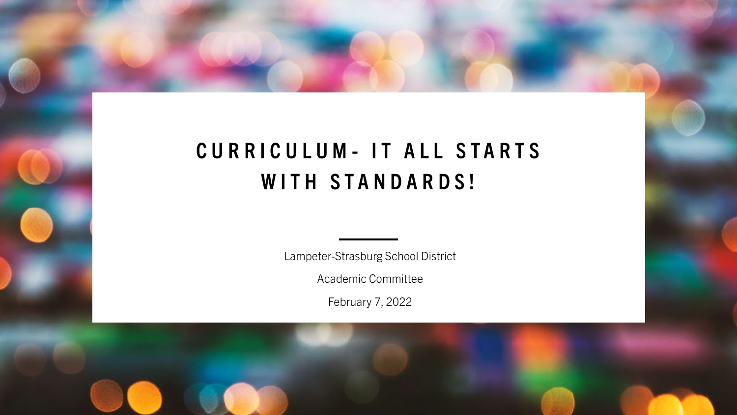## **CURRICULUM - IT ALL STARTS WITH STANDARDS!**

Lampeter-Strasburg School District

Academic Committee

February 7, 2022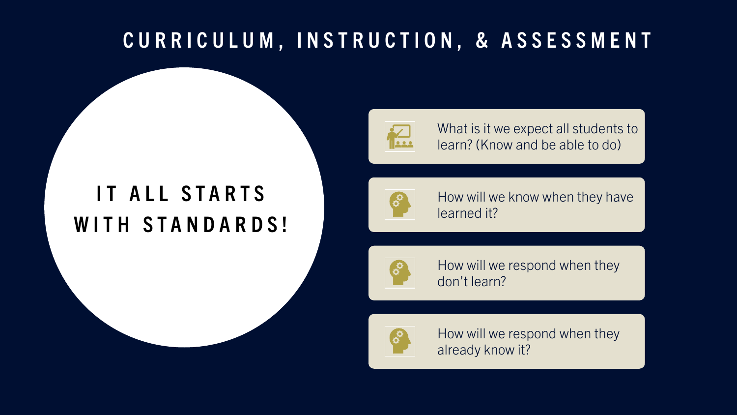### **CURRICULUM, INSTRUCTION, & ASSESSMENT**

## **IT ALL STARTS WITH STANDARDS!**



What is it we expect all students to learn? (Know and be able to do)



How will we know when they have learned it?



How will we respond when they don't learn?



How will we respond when they already know it?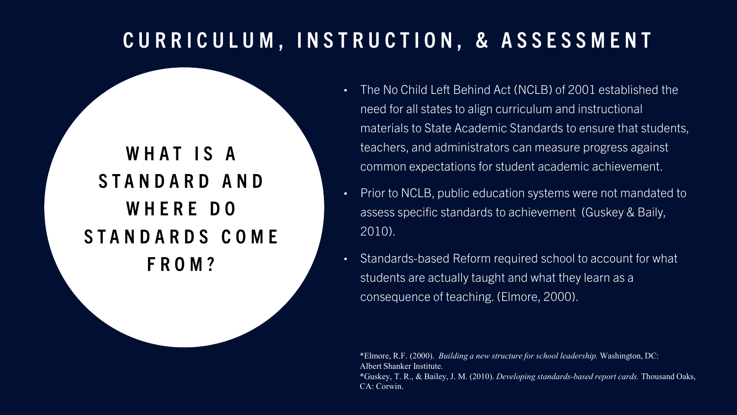### **CURRICULUM, INSTRUCTION, & ASSESSMENT**

### **WHAT IS A STANDARD AND WHERE DO STANDARDS COME FROM?**

- The No Child Left Behind Act (NCLB) of 2001 established the need for all states to align curriculum and instructional materials to State Academic Standards to ensure that students, teachers, and administrators can measure progress against common expectations for student academic achievement.
- Prior to NCLB, public education systems were not mandated to assess specific standards to achievement (Guskey & Baily, 2010).
- Standards-based Reform required school to account for what students are actually taught and what they learn as a consequence of teaching. (Elmore, 2000).

\*Elmore, R.F. (2000). *Building a new structure for school leadership.* Washington, DC: Albert Shanker Institute. \*Guskey, T. R., & Bailey, J. M. (2010). *Developing standards-based report cards.* Thousand Oaks, CA: Corwin.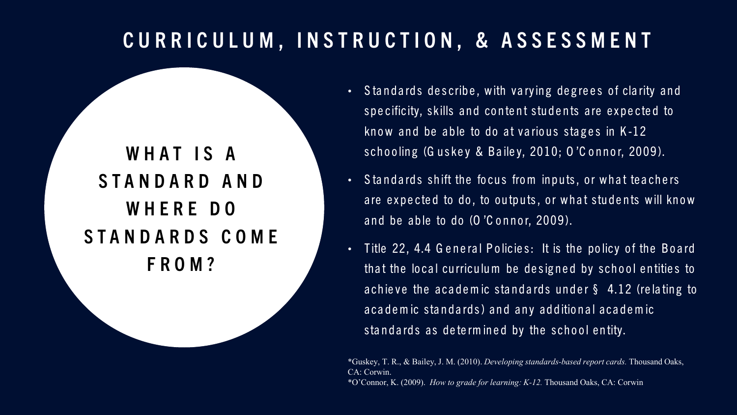### **CURRICULUM, INSTRUCTION, & ASSESSMENT**

**WHAT IS A STANDARD AND WHERE DO STANDARDS COME FROM?** 

- Standards describe, with varying degrees of clarity and specificity, skills and content students are expected to know and be able to do at various stages in  $K-12$ schooling (Guskey & Bailey, 2010; O'Connor, 2009).
- Standards shift the focus from inputs, or what teachers are expected to do, to outputs, or what students will know and be able to do  $(O'C$  onnor,  $2009$ ).
- Title 22, 4.4 G eneral Policies: It is the policy of the Board that the local curriculum be designed by school entities to achieve the academic standards under  $\S$  4.12 (relating to a cademic standards) and any additional academic stand ards as determined by the school entity.

\*Guskey, T. R., & Bailey, J. M. (2010). *Developing standards-based report cards.* Thousand Oaks, CA: Corwin. \*O'Connor, K. (2009). *How to grade for learning: K-12.* Thousand Oaks, CA: Corwin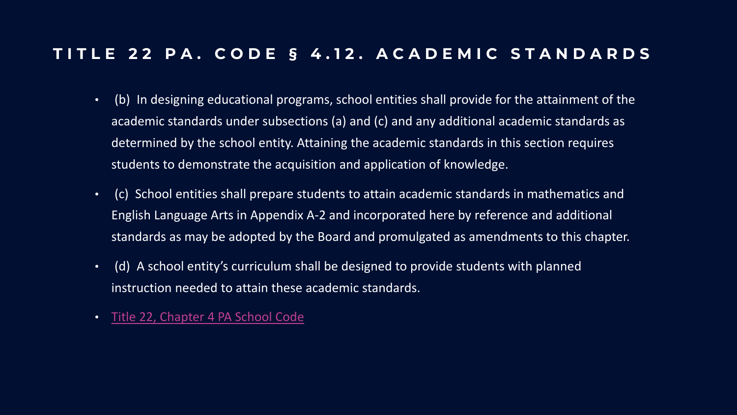#### **TITLE 22 PA. CODE § 4.12. ACADEMIC STANDARDS**

- (b) In designing educational programs, school entities shall provide for the attainment of the academic standards under subsections (a) and (c) and any additional academic standards as determined by the school entity. Attaining the academic standards in this section requires students to demonstrate the acquisition and application of knowledge.
- (c) School entities shall prepare students to attain academic standards in mathematics and English Language Arts in Appendix A-2 and incorporated here by reference and additional standards as may be adopted by the Board and promulgated as amendments to this chapter.
- (d) A school entity's curriculum shall be designed to provide students with planned instruction needed to attain these academic standards.
- [Title 22, Chapter 4 PA School Code](http://www.pacodeandbulletin.gov/Display/pacode?file=/secure/pacode/data/022/chapter4/chap4toc.html&d=)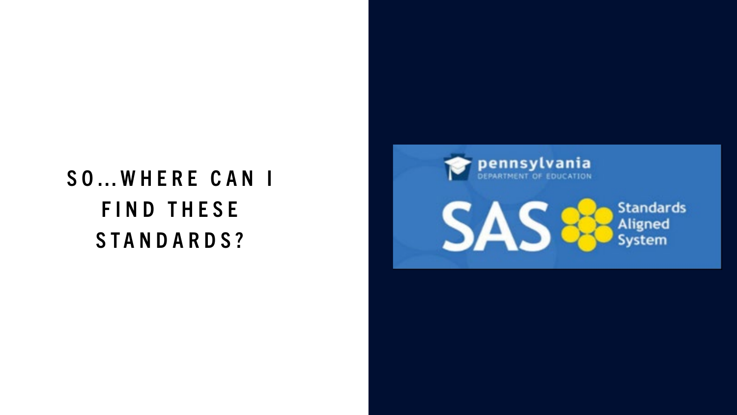# **SO…WHERE CAN I FIND THESE STANDARDS?**

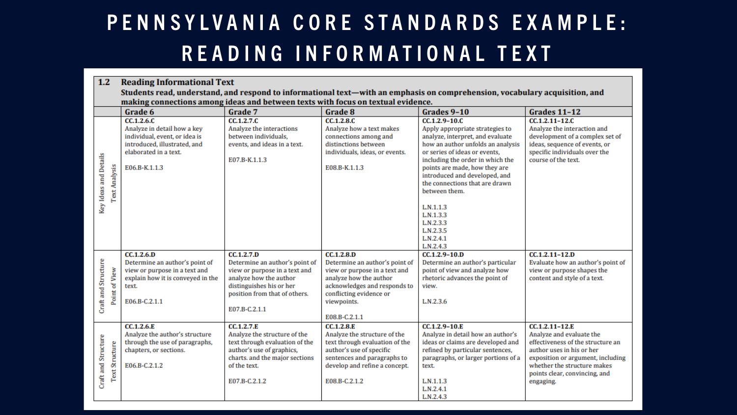## **PENNSYLVANIA CORE STANDARDS EXAMPLE: READING INFORMATIONAL TEXT**

| 1.2                                          | <b>Reading Informational Text</b>                                                                                                                                                                               |                                                                                                                                                                                       |                                                                                                                                                                                                    |                                                                                                                                                                                                                                                                                                                                                                                                       |                                                                                                                                                                                                                                |  |  |  |  |  |
|----------------------------------------------|-----------------------------------------------------------------------------------------------------------------------------------------------------------------------------------------------------------------|---------------------------------------------------------------------------------------------------------------------------------------------------------------------------------------|----------------------------------------------------------------------------------------------------------------------------------------------------------------------------------------------------|-------------------------------------------------------------------------------------------------------------------------------------------------------------------------------------------------------------------------------------------------------------------------------------------------------------------------------------------------------------------------------------------------------|--------------------------------------------------------------------------------------------------------------------------------------------------------------------------------------------------------------------------------|--|--|--|--|--|
|                                              | Students read, understand, and respond to informational text—with an emphasis on comprehension, vocabulary acquisition, and<br>making connections among ideas and between texts with focus on textual evidence. |                                                                                                                                                                                       |                                                                                                                                                                                                    |                                                                                                                                                                                                                                                                                                                                                                                                       |                                                                                                                                                                                                                                |  |  |  |  |  |
|                                              | Grade 6                                                                                                                                                                                                         | Grade 7                                                                                                                                                                               | Grade 8                                                                                                                                                                                            | Grades 9-10                                                                                                                                                                                                                                                                                                                                                                                           | Grades 11-12                                                                                                                                                                                                                   |  |  |  |  |  |
| Key Ideas and Details<br>Text Analysis       | CC.1.2.6.C<br>Analyze in detail how a key<br>individual, event, or idea is<br>introduced, illustrated, and<br>elaborated in a text.<br>E06.B-K.1.1.3                                                            | CC.1.2.7.C<br>Analyze the interactions<br>between individuals,<br>events, and ideas in a text.<br>E07.B-K.1.1.3                                                                       | CC.1.2.8.C<br>Analyze how a text makes<br>connections among and<br>distinctions between<br>individuals, ideas, or events.<br>E08.B-K.1.1.3                                                         | $CC.1.2.9 - 10.0$<br>Apply appropriate strategies to<br>analyze, interpret, and evaluate<br>how an author unfolds an analysis<br>or series of ideas or events.<br>including the order in which the<br>points are made, how they are<br>introduced and developed, and<br>the connections that are drawn<br>between them.<br>L.N.1.1.3<br>L.N.1.3.3<br>L.N.2.3.3<br>L.N.2.3.5<br>L.N.2.4.1<br>L.N.2.4.3 | CC.1.2.11-12.C<br>Analyze the interaction and<br>development of a complex set of<br>ideas, sequence of events, or<br>specific individuals over the<br>course of the text.                                                      |  |  |  |  |  |
| Craft and Structure<br>Point of View         | CC.1.2.6.D<br>Determine an author's point of<br>view or purpose in a text and<br>explain how it is conveyed in the<br>text.<br>E06.B-C.2.1.1                                                                    | CC.1.2.7.D<br>Determine an author's point of<br>view or purpose in a text and<br>analyze how the author<br>distinguishes his or her<br>position from that of others.<br>E07.B-C.2.1.1 | CC.1.2.8.D<br>Determine an author's point of<br>view or purpose in a text and<br>analyze how the author<br>acknowledges and responds to<br>conflicting evidence or<br>viewpoints.<br>E08.B-C.2.1.1 | $CC.1.2.9 - 10.D$<br>Determine an author's particular<br>point of view and analyze how<br>rhetoric advances the point of<br>view.<br>L.N.2.3.6                                                                                                                                                                                                                                                        | $CC.1.2.11 - 12.D$<br>Evaluate how an author's point of<br>view or purpose shapes the<br>content and style of a text.                                                                                                          |  |  |  |  |  |
| Craft and Structure<br><b>Text Structure</b> | CC.1.2.6.E<br>Analyze the author's structure<br>through the use of paragraphs,<br>chapters, or sections.<br>E06.B-C.2.1.2                                                                                       | <b>CC.1.2.7.E</b><br>Analyze the structure of the<br>text through evaluation of the<br>author's use of graphics,<br>charts. and the major sections<br>of the text.<br>E07.B-C.2.1.2   | CC.1.2.8.E<br>Analyze the structure of the<br>text through evaluation of the<br>author's use of specific<br>sentences and paragraphs to<br>develop and refine a concept.<br>E08.B-C.2.1.2          | CC.1.2.9-10.E<br>Analyze in detail how an author's<br>ideas or claims are developed and<br>refined by particular sentences,<br>paragraphs, or larger portions of a<br>text.<br>L.N.1.1.3<br>L.N.2.4.1<br>L.N.2.4.3                                                                                                                                                                                    | CC.1.2.11-12.E<br>Analyze and evaluate the<br>effectiveness of the structure an<br>author uses in his or her<br>exposition or argument, including<br>whether the structure makes<br>points clear, convincing, and<br>engaging. |  |  |  |  |  |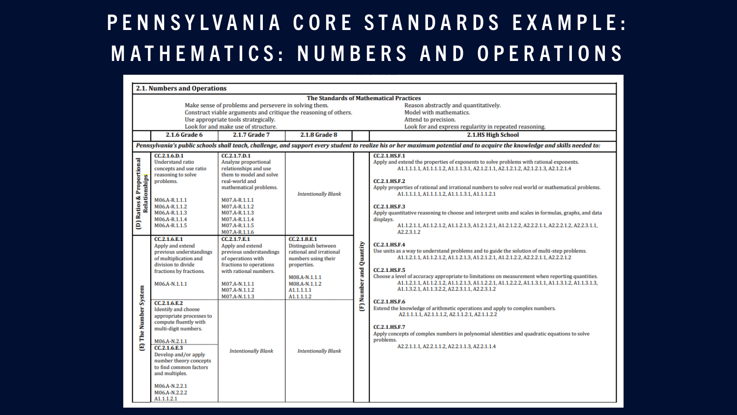## **PENNSYLVANIA CORE STANDARDS EXAMPLE: MATHEMATICS: NUMBERS AND OPERATIONS**

| <b>2.1. Numbers and Operations</b>                                                                                                                                                                                                                                                                                                                             |                                                                                                                                                                                                                                                                                                                                                                                                                                                                  |                                                                                                                                                                                                                                            |                                                                                                                                                                                                  |                             |                                                                                                                                                                                                                                                                                                                                                                                                                                                                                                                                                                                                                                                                                                                                                                                                                                          |  |  |  |  |
|----------------------------------------------------------------------------------------------------------------------------------------------------------------------------------------------------------------------------------------------------------------------------------------------------------------------------------------------------------------|------------------------------------------------------------------------------------------------------------------------------------------------------------------------------------------------------------------------------------------------------------------------------------------------------------------------------------------------------------------------------------------------------------------------------------------------------------------|--------------------------------------------------------------------------------------------------------------------------------------------------------------------------------------------------------------------------------------------|--------------------------------------------------------------------------------------------------------------------------------------------------------------------------------------------------|-----------------------------|------------------------------------------------------------------------------------------------------------------------------------------------------------------------------------------------------------------------------------------------------------------------------------------------------------------------------------------------------------------------------------------------------------------------------------------------------------------------------------------------------------------------------------------------------------------------------------------------------------------------------------------------------------------------------------------------------------------------------------------------------------------------------------------------------------------------------------------|--|--|--|--|
| <b>The Standards of Mathematical Practices</b>                                                                                                                                                                                                                                                                                                                 |                                                                                                                                                                                                                                                                                                                                                                                                                                                                  |                                                                                                                                                                                                                                            |                                                                                                                                                                                                  |                             |                                                                                                                                                                                                                                                                                                                                                                                                                                                                                                                                                                                                                                                                                                                                                                                                                                          |  |  |  |  |
| Make sense of problems and persevere in solving them.<br>Reason abstractly and quantitatively.<br>Construct viable arguments and critique the reasoning of others.<br>Model with mathematics.<br>Use appropriate tools strategically.<br>Attend to precision.<br>Look for and make use of structure.<br>Look for and express regularity in repeated reasoning. |                                                                                                                                                                                                                                                                                                                                                                                                                                                                  |                                                                                                                                                                                                                                            |                                                                                                                                                                                                  |                             |                                                                                                                                                                                                                                                                                                                                                                                                                                                                                                                                                                                                                                                                                                                                                                                                                                          |  |  |  |  |
|                                                                                                                                                                                                                                                                                                                                                                | 2.1.6 Grade 6                                                                                                                                                                                                                                                                                                                                                                                                                                                    | 2.1.7 Grade 7                                                                                                                                                                                                                              | 2.1.8 Grade 8                                                                                                                                                                                    |                             | 2.1.HS High School                                                                                                                                                                                                                                                                                                                                                                                                                                                                                                                                                                                                                                                                                                                                                                                                                       |  |  |  |  |
|                                                                                                                                                                                                                                                                                                                                                                | Pennsylvania's public schools shall teach, challenge, and support every student to realize his or her maximum potential and to acquire the knowledge and skills needed to:                                                                                                                                                                                                                                                                                       |                                                                                                                                                                                                                                            |                                                                                                                                                                                                  |                             |                                                                                                                                                                                                                                                                                                                                                                                                                                                                                                                                                                                                                                                                                                                                                                                                                                          |  |  |  |  |
| (D) Ratios & Proportional<br>Relationships                                                                                                                                                                                                                                                                                                                     | CC.2.1.6.D.1<br><b>Understand ratio</b><br>concepts and use ratio<br>reasoning to solve<br>problems.<br>M06.A-R.1.1.1<br>M06.A-R.1.1.2<br>M06.A-R.1.1.3<br>M06.A-R.1.1.4<br>M06.A-R.1.1.5                                                                                                                                                                                                                                                                        | CC.2.1.7.D.1<br>Analyze proportional<br>relationships and use<br>them to model and solve<br>real-world and<br>mathematical problems.<br>M07.A-R.1.1.1<br>M07.A-R.1.1.2<br>M07.A-R.1.1.3<br>M07.A-R.1.1.4<br>M07.A-R.1.1.5<br>M07.A-R.1.1.6 | <b>Intentionally Blank</b>                                                                                                                                                                       |                             | <b>CC.2.1.HS.F.1</b><br>Apply and extend the properties of exponents to solve problems with rational exponents.<br>A1.1.1.1.1. A1.1.1.1.2. A1.1.1.3.1. A2.1.2.1.1. A2.1.2.1.2. A2.1.2.1.3. A2.1.2.1.4<br><b>CC.2.1.HS.F.2</b><br>Apply properties of rational and irrational numbers to solve real world or mathematical problems.<br>A1.1.1.1.1. A1.1.1.1.2. A1.1.1.3.1. A1.1.1.2.1<br><b>CC.2.1.HS.F.3</b><br>Apply quantitative reasoning to choose and interpret units and scales in formulas, graphs, and data<br>displays.<br>A1.1.2.1.1, A1.1.2.1.2, A1.1.2.1.3, A1.2.1.2.1, A1.2.1.2.2, A2.2.2.1.1, A2.2.2.1.2, A2.2.3.1.1,<br>A2.2.3.1.2                                                                                                                                                                                        |  |  |  |  |
| [E] The Number System                                                                                                                                                                                                                                                                                                                                          | CC.2.1.6.E.1<br>Apply and extend<br>previous understandings<br>of multiplication and<br>division to divide<br>fractions by fractions.<br>M06.A-N.1.1.1<br>CC.2.1.6.E.2<br><b>Identify and choose</b><br>appropriate processes to<br>compute fluently with<br>multi-digit numbers.<br>M06.A-N.2.1.1<br>CC.2.1.6.E.3<br>Develop and/or apply<br>number theory concepts<br>to find common factors<br>and multiples.<br>M06.A-N.2.2.1<br>M06.A-N.2.2.2<br>A1.1.1.2.1 | CC.2.1.7.E.1<br>Apply and extend<br>previous understandings<br>of operations with<br>fractions to operations<br>with rational numbers.<br>M07.A-N.1.1.1<br>M07.A-N.1.1.2<br>M07.A-N.1.1.3<br><b>Intentionally Blank</b>                    | CC.2.1.8.E.1<br>Distinguish between<br>rational and irrational<br>numbers using their<br>properties.<br>M08.A-N.1.1.1<br>M08.A-N.1.1.2<br>A1.1.1.1.1<br>A1.1.1.1.2<br><b>Intentionally Blank</b> | Quantity<br>Number and<br>Ξ | <b>CC.2.1.HS.F.4</b><br>Use units as a way to understand problems and to guide the solution of multi-step problems.<br>A1.1.2.1.1, A1.1.2.1.2, A1.1.2.1.3, A1.2.1.2.1, A1.2.1.2.2, A2.2.2.1.1, A2.2.2.1.2<br><b>CC.2.1.HS.F.5</b><br>Choose a level of accuracy appropriate to limitations on measurement when reporting quantities.<br>A1.1.2.1.1, A1.1.2.1.2, A1.1.2.1.3, A1.1.2.2.1, A1.1.2.2.2, A1.1.3.1.1, A1.1.3.1.2, A1.1.3.1.3,<br>A1.1.3.2.1, A1.1.3.2.2, A2.2.3.1.1, A2.2.3.1.2<br><b>CC.2.1.HS.F.6</b><br>Extend the knowledge of arithmetic operations and apply to complex numbers.<br>A2.1.1.1.1. A2.1.1.1.2. A2.1.1.2.1. A2.1.1.2.2<br><b>CC.2.1.HS.F.7</b><br>Apply concepts of complex numbers in polynomial identities and quadratic equations to solve<br>problems.<br>A2.2.1.1.1, A2.2.1.1.2, A2.2.1.1.3, A2.2.1.1.4 |  |  |  |  |